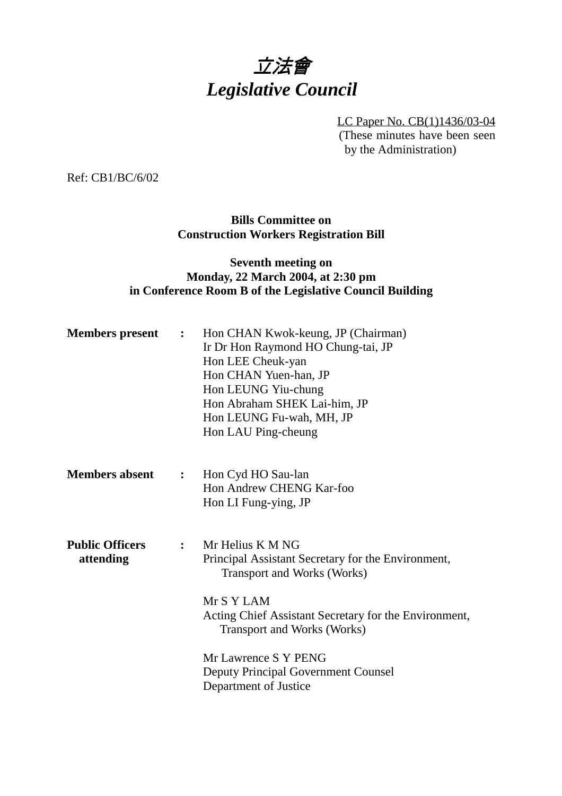# 立法會 *Legislative Council*

LC Paper No. CB(1)1436/03-04 (These minutes have been seen by the Administration)

Ref: CB1/BC/6/02

## **Bills Committee on Construction Workers Registration Bill**

# **Seventh meeting on Monday, 22 March 2004, at 2:30 pm in Conference Room B of the Legislative Council Building**

| <b>Members</b> present              | $\mathbf{r}$ . The state $\mathbf{r}$ | Hon CHAN Kwok-keung, JP (Chairman)<br>Ir Dr Hon Raymond HO Chung-tai, JP<br>Hon LEE Cheuk-yan<br>Hon CHAN Yuen-han, JP<br>Hon LEUNG Yiu-chung<br>Hon Abraham SHEK Lai-him, JP<br>Hon LEUNG Fu-wah, MH, JP<br>Hon LAU Ping-cheung |
|-------------------------------------|---------------------------------------|----------------------------------------------------------------------------------------------------------------------------------------------------------------------------------------------------------------------------------|
| <b>Members absent</b>               | $\ddot{\cdot}$                        | Hon Cyd HO Sau-lan<br>Hon Andrew CHENG Kar-foo<br>Hon LI Fung-ying, JP                                                                                                                                                           |
| <b>Public Officers</b><br>attending | $\mathbf{L}$                          | Mr Helius K M NG<br>Principal Assistant Secretary for the Environment,<br>Transport and Works (Works)<br>Mr S Y LAM<br>Acting Chief Assistant Secretary for the Environment,<br><b>Transport and Works (Works)</b>               |
|                                     |                                       | Mr Lawrence S Y PENG<br><b>Deputy Principal Government Counsel</b><br>Department of Justice                                                                                                                                      |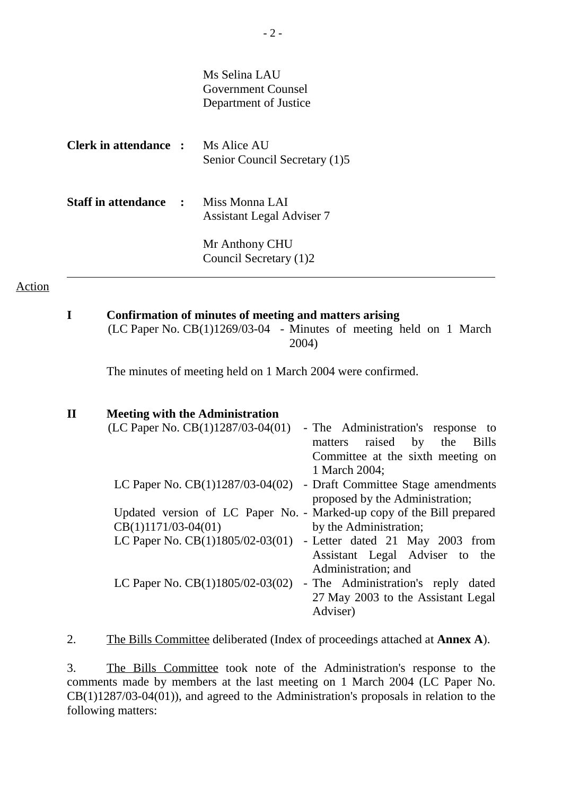|                            |                | Ms Selina LAU<br>Government Counsel<br>Department of Justice |
|----------------------------|----------------|--------------------------------------------------------------|
| Clerk in attendance :      |                | Ms Alice AU<br>Senior Council Secretary (1)5                 |
| <b>Staff in attendance</b> | $\mathbb{R}^n$ | Miss Monna LAI<br><b>Assistant Legal Adviser 7</b>           |
|                            |                | Mr Anthony CHU<br>Council Secretary (1)2                     |

#### Action

**I Confirmation of minutes of meeting and matters arising** (LC Paper No. CB(1)1269/03-04 - Minutes of meeting held on 1 March 2004)

The minutes of meeting held on 1 March 2004 were confirmed.

| $\mathbf{H}$ | <b>Meeting with the Administration</b>                                      |
|--------------|-----------------------------------------------------------------------------|
|              | (LC Paper No. $CB(1)1287/03-04(01)$<br>- The Administration's response to   |
|              | matters raised by the<br><b>Bills</b>                                       |
|              | Committee at the sixth meeting on                                           |
|              | 1 March 2004;                                                               |
|              | LC Paper No. CB(1)1287/03-04(02) - Draft Committee Stage amendments         |
|              | proposed by the Administration;                                             |
|              | Updated version of LC Paper No. - Marked-up copy of the Bill prepared       |
|              | $CB(1)1171/03-04(01)$<br>by the Administration;                             |
|              | LC Paper No. $CB(1)1805/02-03(01)$ - Letter dated 21 May 2003 from          |
|              | Assistant Legal Adviser to the                                              |
|              | Administration; and                                                         |
|              | LC Paper No. $CB(1)1805/02-03(02)$<br>- The Administration's reply<br>dated |
|              | 27 May 2003 to the Assistant Legal                                          |
|              | Adviser)                                                                    |

2. The Bills Committee deliberated (Index of proceedings attached at **Annex A**).

3. The Bills Committee took note of the Administration's response to the comments made by members at the last meeting on 1 March 2004 (LC Paper No.  $CB(1)1287/03-04(01)$ , and agreed to the Administration's proposals in relation to the following matters: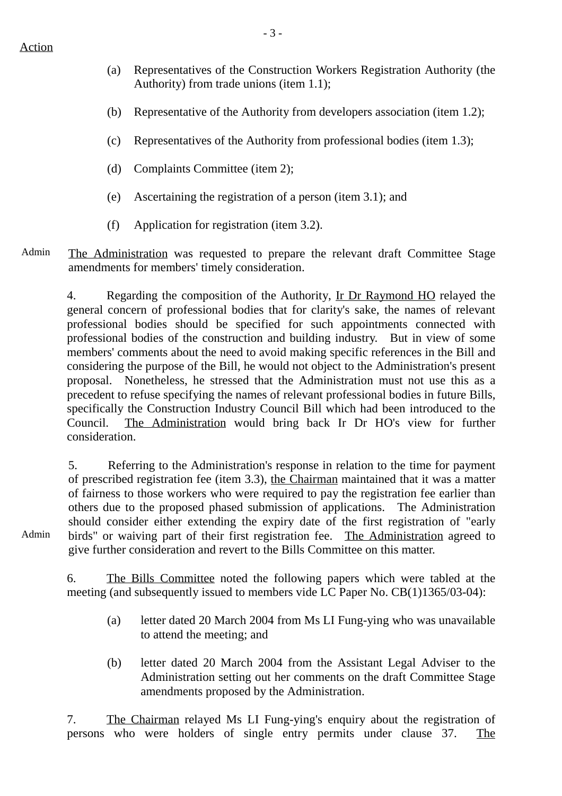- (a) Representatives of the Construction Workers Registration Authority (the Authority) from trade unions (item 1.1);
- (b) Representative of the Authority from developers association (item 1.2);
- (c) Representatives of the Authority from professional bodies (item 1.3);
- (d) Complaints Committee (item 2);
- (e) Ascertaining the registration of a person (item 3.1); and
- (f) Application for registration (item 3.2).
- Admin The Administration was requested to prepare the relevant draft Committee Stage amendments for members' timely consideration.

4. Regarding the composition of the Authority, Ir Dr Raymond HO relayed the general concern of professional bodies that for clarity's sake, the names of relevant professional bodies should be specified for such appointments connected with professional bodies of the construction and building industry. But in view of some members' comments about the need to avoid making specific references in the Bill and considering the purpose of the Bill, he would not object to the Administration's present proposal. Nonetheless, he stressed that the Administration must not use this as a precedent to refuse specifying the names of relevant professional bodies in future Bills, specifically the Construction Industry Council Bill which had been introduced to the Council. The Administration would bring back Ir Dr HO's view for further consideration.

5. Referring to the Administration's response in relation to the time for payment of prescribed registration fee (item 3.3), the Chairman maintained that it was a matter of fairness to those workers who were required to pay the registration fee earlier than others due to the proposed phased submission of applications. The Administration should consider either extending the expiry date of the first registration of "early birds" or waiving part of their first registration fee. The Administration agreed to give further consideration and revert to the Bills Committee on this matter.

Admin

6. The Bills Committee noted the following papers which were tabled at the meeting (and subsequently issued to members vide LC Paper No. CB(1)1365/03-04):

- (a) letter dated 20 March 2004 from Ms LI Fung-ying who was unavailable to attend the meeting; and
- (b) letter dated 20 March 2004 from the Assistant Legal Adviser to the Administration setting out her comments on the draft Committee Stage amendments proposed by the Administration.

7. The Chairman relayed Ms LI Fung-ying's enquiry about the registration of persons who were holders of single entry permits under clause 37. The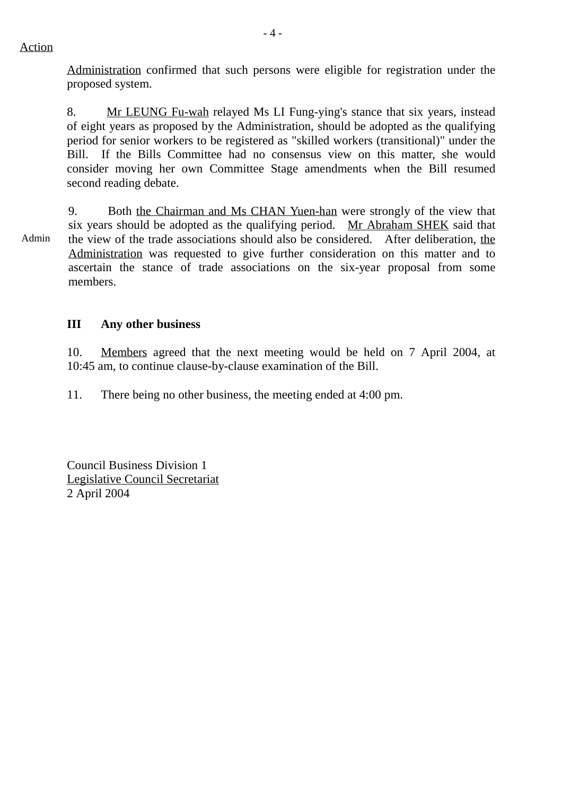Action

Administration confirmed that such persons were eligible for registration under the proposed system.

8. Mr LEUNG Fu-wah relayed Ms LI Fung-ying's stance that six years, instead of eight years as proposed by the Administration, should be adopted as the qualifying period for senior workers to be registered as "skilled workers (transitional)" under the Bill. If the Bills Committee had no consensus view on this matter, she would consider moving her own Committee Stage amendments when the Bill resumed second reading debate.

Admin 9. Both the Chairman and Ms CHAN Yuen-han were strongly of the view that six years should be adopted as the qualifying period. Mr Abraham SHEK said that the view of the trade associations should also be considered. After deliberation, the Administration was requested to give further consideration on this matter and to ascertain the stance of trade associations on the six-year proposal from some members.

# **III Any other business**

10. Members agreed that the next meeting would be held on 7 April 2004, at 10:45 am, to continue clause-by-clause examination of the Bill.

11. There being no other business, the meeting ended at 4:00 pm.

Council Business Division 1 Legislative Council Secretariat 2 April 2004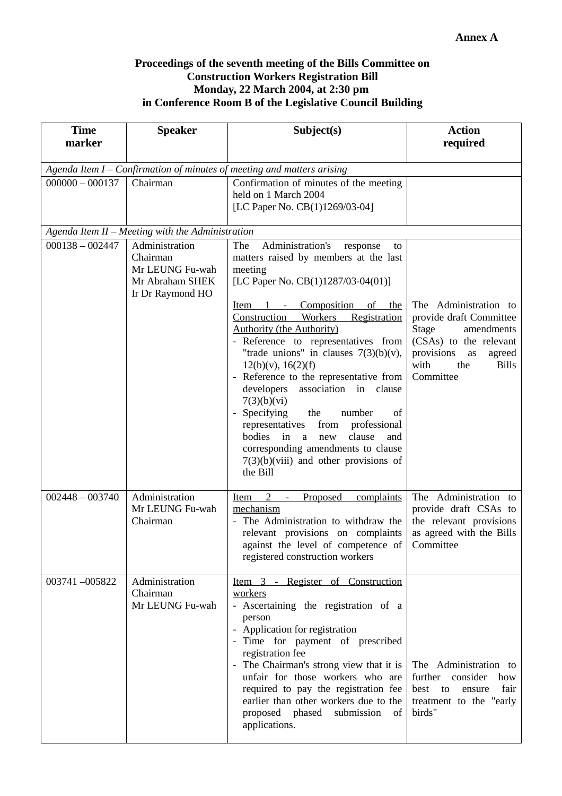### **Proceedings of the seventh meeting of the Bills Committee on Construction Workers Registration Bill Monday, 22 March 2004, at 2:30 pm in Conference Room B of the Legislative Council Building**

| <b>Time</b><br>marker                                                  | <b>Speaker</b>                                                                       | Subject(s)                                                                                                                                                                                                                                                                                                                                                                                                                                                                                                                                                                                                                                                        | <b>Action</b><br>required                                                                                                                                                   |  |  |  |  |  |
|------------------------------------------------------------------------|--------------------------------------------------------------------------------------|-------------------------------------------------------------------------------------------------------------------------------------------------------------------------------------------------------------------------------------------------------------------------------------------------------------------------------------------------------------------------------------------------------------------------------------------------------------------------------------------------------------------------------------------------------------------------------------------------------------------------------------------------------------------|-----------------------------------------------------------------------------------------------------------------------------------------------------------------------------|--|--|--|--|--|
| Agenda Item I - Confirmation of minutes of meeting and matters arising |                                                                                      |                                                                                                                                                                                                                                                                                                                                                                                                                                                                                                                                                                                                                                                                   |                                                                                                                                                                             |  |  |  |  |  |
| $000000 - 000137$<br>Chairman                                          |                                                                                      | Confirmation of minutes of the meeting<br>held on 1 March 2004<br>[LC Paper No. CB(1)1269/03-04]                                                                                                                                                                                                                                                                                                                                                                                                                                                                                                                                                                  |                                                                                                                                                                             |  |  |  |  |  |
|                                                                        | Agenda Item II - Meeting with the Administration                                     |                                                                                                                                                                                                                                                                                                                                                                                                                                                                                                                                                                                                                                                                   |                                                                                                                                                                             |  |  |  |  |  |
| $000138 - 002447$                                                      | Administration<br>Chairman<br>Mr LEUNG Fu-wah<br>Mr Abraham SHEK<br>Ir Dr Raymond HO | Administration's<br>The<br>response<br>to<br>matters raised by members at the last<br>meeting<br>[LC Paper No. CB(1)1287/03-04(01)]<br>Item 1 - Composition of the<br>Construction Workers Registration<br><b>Authority (the Authority)</b><br>- Reference to representatives from<br>"trade unions" in clauses $7(3)(b)(v)$ ,<br>12(b)(v), 16(2)(f)<br>- Reference to the representative from<br>developers<br>association in clause<br>7(3)(b)(vi)<br>- Specifying<br>the<br>number<br>of<br>representatives from professional<br>bodies in a new<br>clause<br>and<br>corresponding amendments to clause<br>$7(3)(b)(viii)$ and other provisions of<br>the Bill | The Administration to<br>provide draft Committee<br>Stage<br>amendments<br>(CSAs) to the relevant<br>provisions<br>agreed<br>as<br>with<br>the<br><b>Bills</b><br>Committee |  |  |  |  |  |
| $002448 - 003740$                                                      | Administration<br>Mr LEUNG Fu-wah<br>Chairman                                        | 2<br>Item<br>Proposed<br>complaints<br>$\sim$ $^{-1}$<br>mechanism<br>- The Administration to withdraw the<br>relevant provisions on complaints<br>against the level of competence of Committee<br>registered construction workers                                                                                                                                                                                                                                                                                                                                                                                                                                | The Administration to<br>provide draft CSAs to<br>the relevant provisions<br>as agreed with the Bills                                                                       |  |  |  |  |  |
| 003741-005822                                                          | Administration<br>Chairman<br>Mr LEUNG Fu-wah                                        | Item 3 - Register of Construction<br>workers<br>- Ascertaining the registration of a<br>person<br>- Application for registration<br>- Time for payment of prescribed<br>registration fee<br>- The Chairman's strong view that it is<br>unfair for those workers who are<br>required to pay the registration fee<br>earlier than other workers due to the<br>proposed phased<br>submission<br>of<br>applications.                                                                                                                                                                                                                                                  | The Administration to<br>further<br>consider<br>how<br>best<br>fair<br>to<br>ensure<br>treatment to the "early<br>birds"                                                    |  |  |  |  |  |